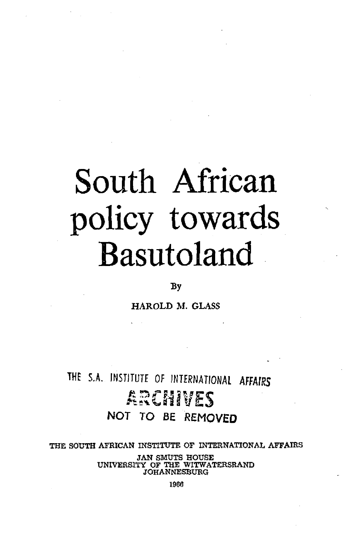# South African policy towards Basutoland

#### By

HAROLD M. GLASS

## THE S.A. INSTITUTE OF INTERNATIONAL AFFAIRS **5 3 \* NOT TO BE REMOVED**

THE SOUTH AFRICAN INSTITUTE OF INTERNATIONAL AFFAIRS

JAN SMUTS HOUSE UNIVERSITY OF THE WITWATERSRAND JOHANNESBURG

1966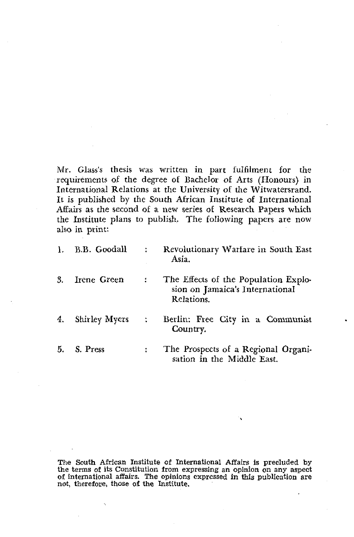Mr. Glass's thesis was written in part fulfilment for the requirements of the degree of Bachelor of Arts (Honours) in International Relations at the University of the Witwatersrand. It is published by the South African Institute of International Affairs as the second of a new series of Research Papers which the Institute plans to publish. The following papers are now also in print:

| Λ. | B.B. Goodall  |   | Revolutionary Warfare in South East<br>Asia.                                          |
|----|---------------|---|---------------------------------------------------------------------------------------|
| 3. | Irene Green   |   | The Effects of the Population Explo-<br>sion on Jamaica's International<br>Relations. |
| 4. | Shirley Myers | ÷ | Berlin: Free City in a Communist<br>Country.                                          |
| 5. | S. Press      |   | The Prospects of a Regional Organi-<br>sation in the Middle East.                     |

The South African Institute of International Affairs is precluded by the terms of its Constitution from expressing an opinion on any aspect of international affairs. The opinions expressed in this publication are not, therefore, those of the Institute.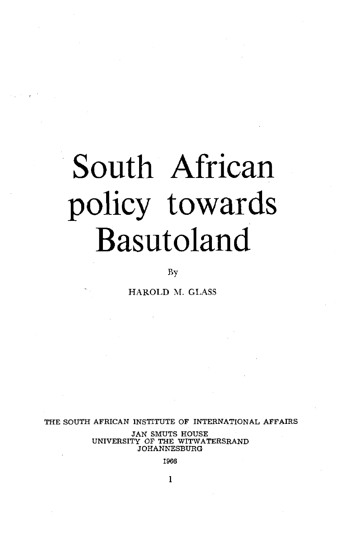# South African policy towards Basutoland

### By

HAROLD M. GLASS

THE SOUTH AFRICAN INSTITUTE OF INTERNATIONAL AFFAIRS

JAN SMUTS HOUSE UNIVERSITY OF THE WITWATERSRAND JOHANNESBURG

1966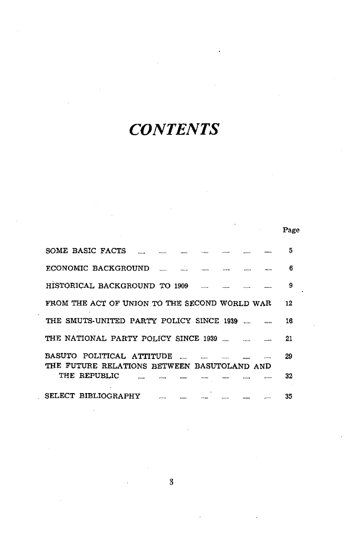# *CONTENTS*

|                                                                          |      |         |         |               |      | Page |
|--------------------------------------------------------------------------|------|---------|---------|---------------|------|------|
| SOME BASIC FACTS                                                         | <br> |         |         |               |      | 5    |
| ECONOMIC BACKGROUND                                                      |      | \$22.10 | 1.1.1.1 |               |      | в    |
| HISTORICAL BACKGROUND TO 1909                                            |      |         |         |               | <br> | 9    |
| FROM THE ACT OF UNION TO THE SECOND WORLD WAR                            |      |         |         |               |      | 12   |
| THE SMUTS-UNITED PARTY POLICY SINCE 1939                                 |      |         |         |               |      | 16   |
| THE NATIONAL PARTY POLICY SINCE 1939                                     |      |         |         |               |      | 21   |
| BASUTO POLITICAL ATTITUDE<br>THE FUTURE RELATIONS BETWEEN BASUTOLAND AND |      |         |         |               | <br> | 29   |
| THE REPUBLIC                                                             |      |         |         | <b>******</b> |      | 32   |
| SELECT BIBLIOGRAPHY                                                      |      |         |         | 1.1.1.1.      | <br> | 35   |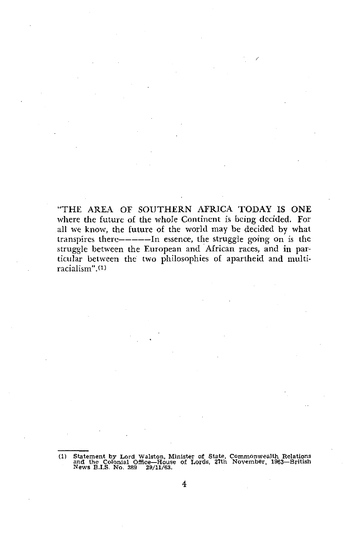"THE AREA OF SOUTHERN AFRICA TODAY IS ONE where the future of the whole Continent is being decided. For all we know, the future of the world may be decided by what transpires there------In essence, the struggle going on is the struggle between the European and African races, and in particular between the two philosophies of apartheid and multiracialism".<sup>(1)</sup>

<sup>(1)</sup> Statement by Lord Walston, Minister of State, Commonwealth Relations and the Colonial Office—House of Lords, 27th November. 1963—British News B.I.S. No. 389 29/11/63.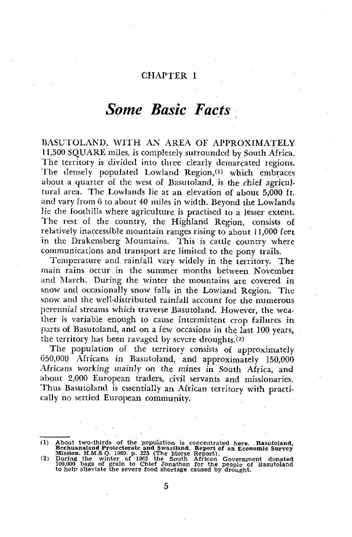## *Some Basic Facts*

BASUTOLAND, WITH AN AREA OF APPROXIMATELY 11,500 SQUARE miles, is completely surrounded by South Africa. The territory is divided into three clearly demarcated regions. The densely populated Lowland Region,'<sup>1</sup> ) which embraces about *A* quarter of the west of Basutoland, is the chief agricultural area. The Lowlands lie at an elevation of about 5,000 ft. and vary from 6 to about 40 miles in width. Beyond the Lowlands lie the foothills where agriculture is practised to a lesser extent. The rest of the country, the Highland Region, consists of relatively inaccessible mountain ranges rising to about 11,000 feet in the Drakensberg Mountains. This is cattle country where communications and transport are limited to the pony trails.

Temperature and rainfall vary widely in the territory. The main rains occur in the summer months between November and March. During the winter the mountains are covered in snow and occasionally snow falls in the Lowland Region. The snow and the well-distributed rainfall account for the numerous perennial streams which traverse Basutoland. However, the weather is variable enough to cause intermittent crop failures in parts of Basutoland, and on a few occasions in the last 100 years, the territory has been ravaged by severe droughts.<sup>(2)</sup>

The population of the territory consists of approximately 050,000 Africans in Basutoland, and approximately 150,000 Africans *working* mainly on the mines in South Africa, and about 2,000 European traders, civil servants and missionaries. Thus Basutoland is essentially an African territory with practically no settled European community.

<sup>(1)</sup> About two-thirds of the population is concentrated here. Basutoland, Bechuanaland Protectorate and Swaziland. Report of an Economic Survey Mission. H.M.S.O. 1960. p. 225 (The Morse Report).<br>(2) During the winter of 19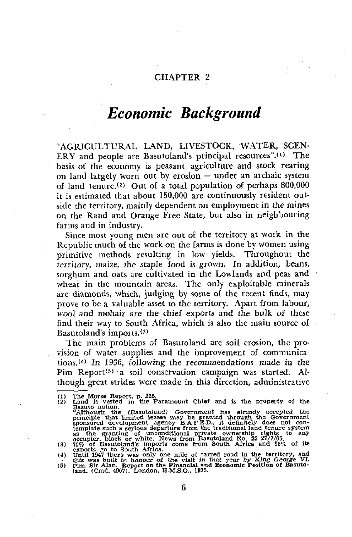## *Economic Background*

"AGRICULTURAL LAND, LIVESTOCK, WATER, SCEN-ERY and people are Basutoland's principal resources". $(1)$  The basis of the economy is peasant agriculture and stock rearing on land largely worn out by erosion — under an archaic system of land tenure.<sup>(2)</sup> Out of a total population of perhaps  $800,000$ it is estimated that about 150,000 are continuously resident outside the territory, mainly dependent on employment in the mines on the Rand and Orange Free State, but also in neighbouring farms and in industry.

Since most young men are out of the territory at work in the Republic much of the work on the farms is done by women using primitive methods resulting in low yields. Throughout the territory, maize, the staple food is grown. In addition, beans, sorghum and oats are cultivated in the Lowlands and peas and wheat in the mountain areas. The only exploitable minerals are diamonds, which, judging by some of the recent finds, may prove to be a valuable asset to the territory. Apart from labour, wool and mohair are the chief exports and the bulk of these find their way to South Africa, which is also the main source of  $B$ asutoland's imports. $(3)$ 

The main problems of Basutoland are soil erosion, the provision of water supplies and the improvement of communications.<sup>(4)</sup> In 1936, following the recommendations made in the Pim Report<sup>(5)</sup> a soil conservation campaign was started. Although great strides were made in this direction, administrative

<sup>(1)</sup> The Morse Report, p. 225. (2) Land is vested in the Paramount Chief and is the property of the<br>
Basuto nation.<br>
The Paramount Chief and is the property of the<br>
Basuto national the (Basutoland) Government has already accepted the<br>
"Although the (Ba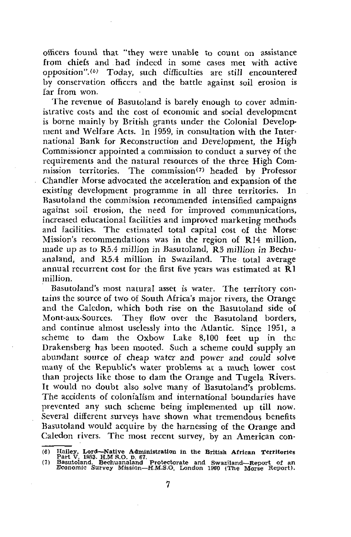officers found that "they were unable to count on assistance from chiefs and had indeed in some cases met with active opposition".'<sup>6</sup> ' Today, such difficulties are still encountered by conservation officers and the battle against soil erosion is far from won.

The revenue of Basutoland is barely enough to cover administrative costs and the cost of economic and social development is borne mainly by British grants under the Colonial Development and Welfare Acts. In 1959, in consultation with the International Bank for Reconstruction and Development, the High Commissioner appointed a commission to conduct a survey of the requirements and the natural resources of the three High Commission territories. The commission<sup>(7)</sup> headed by Professor Chandler Morse advocated the acceleration and expansion of the existing development programme in all three territories. In Basutoland the commission recommended intensified campaigns against soil erosion, the need for improved communications, increased educational facilities and improved marketing methods and facilities. The estimated total capital cost of the Morse Mission's recommendations was in the region of R14 million, made up as to R5.4 million in Basutoland, R3 million *in* Bechuanaland, and R5.4 million in Swaziland. The total average annual recurrent cost for the first five years was estimated at  $\tilde{R}$ 1 million.

Basutoland's most natural asset is water. The territory contains the source of two of South Africa's major rivers, the Orange and the Caledon, which both rise on the Basutoland side of Mont-aux-Sources. They flow over the Basutoland borders, and continue almost uselessly into the Atlantic. Since 1951, a scheme to dam the Oxbow Lake 8,100 feet up in the Drakensberg has been mooted. Such a scheme could supply an abundant source of cheap water and power *and could* solve many of the Republic's water problems at a much lower cost than projects like those to dam the Orange and Tugela Rivers. It would no doubt also solve many of Basutoland's problems. The accidents of colonialism and international boundaries have prevented any such scheme being implemented up till now. Several different surveys have shown what tremendous benefits Basutoland would acquire by the harnessing of the Orange and Caledon rivers. The most recent survey, by an American con-

<sup>(6)</sup> Hailey, Lord—Native Administration in the British African Territories<br>Part V. 1953. H.M.S.O. p. 67.<br>(7) Basutoland, Bechuanaland Protectorate and Swaziland—Report of an<br>Economic Survey Mission—H.M.S.O. London 1960 (The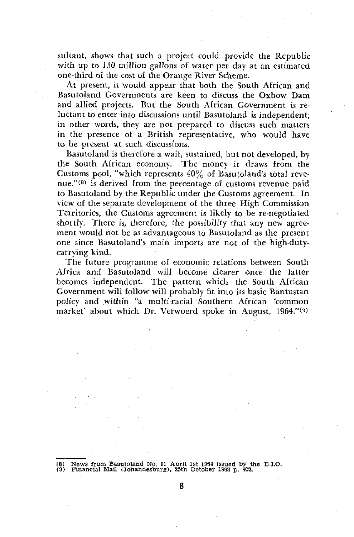sultant, shows that such a project could provide the Republic with up to 130 million gallons of water per day at an estimated one-third of the cost of the Orange River Scheme.

At present, it would appear that both the South African and Basutoland Governments are keen to discuss the Oxbow Dam and allied projects. But the South African Government is reluctant to enter into discussions until Basutoland is independent; in other words, they are not prepared to discuss such matters in the presence of a British representative, who would have to be present at such discussions.

Basutoland is therefore a waif, sustained, but not developed, by the South African economy. The money it draws from the Customs pool, "which represents 40% of Basutoland's total revenue."<sup>(8)</sup> is derived from the percentage of customs revenue paid to Basutoland by the Republic under the Customs agreement. In view of the separate development of the three High Commission Territories, the Customs agreement is likely to be re-negotiated shortly. There is, therefore, the possibility that any new agreement would not be as advantageous to Basutoland as the present one since Basutoland's main imports are not of the high-dutycarrying kind.

The future programme of economic relations between South Africa and Basutoland will become clearer once the latter becomes independent. The pattern which the South African Government will follow will probably fit into its basic Bantustan policy and within "a multi-racial Southern African 'common market' about which Dr. Verwoerd spoke in August, 1964."<sup>(9)</sup>

(8) News from Basutoland No. 11 Aoril 1st 1964 issued by the B.I.O. (9> Financial Mail (Johannesburg), 25th October 19S3 p. 402.

8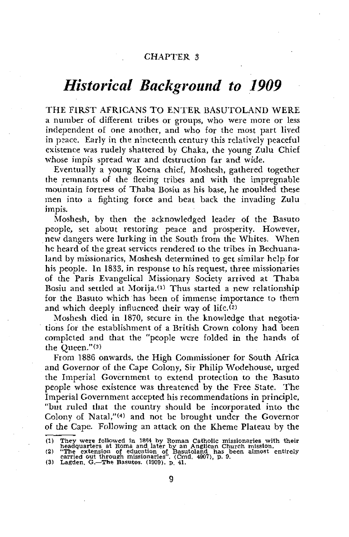## *Historical Background to 1909*

THE FIRST AFRICANS TO ENTER BASUTOLAND WERE a number of different tribes or groups, who were more or less independent of one another, and who for the most part lived in psace. Early in the nineteenth century this relatively peaceful existence was rudely shattered by Chaka, the young Zulu Chief whose impis spread war and destruction far and wide.

Eventually a young Koena chief, Moshesh, gathered together the remnants of the fleeing tribes and with the impregnable mountain fortress of Thaba Bosiu as his base, he moulded these men into a fighting force and beat back the invading Zulu impis.

Moshesh, by then the acknowledged leader of the Basuto people, set about restoring peace and prosperity. However, new dangers were lurking in the South from the Whites. When he heard of the great services rendered to the tribes in Bechuanaland by missionaries, Moshesh determined to get similar help for his people. In 1833, in response to his request, three missionaries of the Paris Evangelical Missionary Society arrived at Thaba Bosiu and settled at Morija.<sup>(1)</sup> Thus started a new relationship for the Basuto which has been of immense importance to them and which deeply influenced their way of life. $(2)$ 

Moshesh died in 1870, secure in the knowledge that negotiations for the establishment of a British Crown colony had been completed and that the "people were folded in the hands of the Queen."(3)

From 1886 onwards, the High Commissioner for South Africa and Governor of the Cape Colony, Sir Philip Wodehouse, urged the Imperial Government to extend protection to the Basuto people whose existence was threatened by the Free State. The Imperial Government accepted his recommendations in principle, "but ruled that the country should be incorporated into the Colony of Natal,"<<sup>4</sup> > and not be brought under the Governor of the Cape. Following- an attack on the Kheme Plateau by the

<sup>(1)</sup> They were followed in 1864 by Roman Catholic missionaries with their<br>headquarters at Roma and later by an Anglican Church mission.<br>(2) "The extension of education of Basutoland has been almost entirely<br>carried out thr

<sup>9</sup>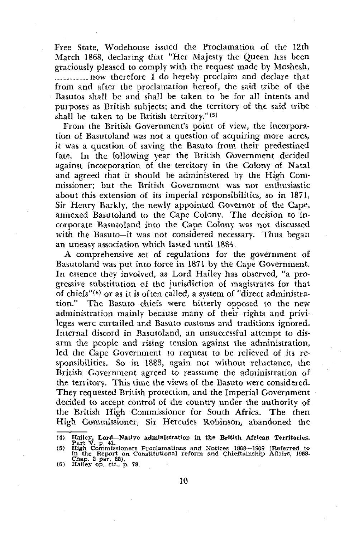Free State, Wodehouse issued the Proclamation o£ the 12th March 1868, declaring that "Her Majesty the Queen has been graciously pleased to comply with the request made by Moshesh, now therefore I do hereby proclaim and declare that from and after the proclamation hereof, the said tribe of the Basutos shall be and shall be taken to be for all intents and purposes as British subjects; and the territory of the said tribe shall be taken to be British territory."(5)

From the British Government's point of view, the incorporation of Basutoland was not a question of acquiring more acres, it was a question of saving the Basuto from their predestined fate. In the following year the British Government decided against incorporation of the territory in the Colony of Natal and agreed that it should be administered by the High Commissioner; but the British Government was not enthusiastic about this extension of its imperial responsibilities, so in 1871, Sir Henry Barkly, the newly appointed Governor of the Cape, annexed Basutoland to the Cape Colony. The decision to incorporate Basutoland into the Cape Colony was not discussed with the Basuto—it was not considered necessary. Thus began an uneasy association which lasted until 1884.

A comprehensive set of regulations for the government of Basutoland was put into force in 1871 by the Cape Government. In essence they involved, as Lord Hailey has observed, "a progressive substitution of the jurisdiction of magistrates for that of chiefs" $^{(6)}$  or as it is often called, a system of "direct administration." The Basuto chiefs were bitterly opposed to the new administration mainly because many of their rights and privileges were curtailed and Basuto customs and traditions ignored. Internal discord in Basutoland, an unsuccessful attempt to disarm the people and rising tension against the administration, led the Cape Government to request to be relieved of its responsibilities. So in 188\$, again not without reluctance, the British Government agreed to reassume the administration of the territory. This time the views of the Basuto were considered. They requested British protection, and the Imperial Government decided to accept control of the country under the authority of the British High Commissioner for South Africa. The then High Commissioner, Sir Hercules Robinson, abandoned the

<sup>(4)</sup> Hailey, Lord—Natlve administration in the British African Territories.<br>
Part V. p. 41.<br>
(5) High Commissioners Proclamations and Notices 1868—1909 (Referred to<br>
in the Report on Constitutional reform and Chieftainship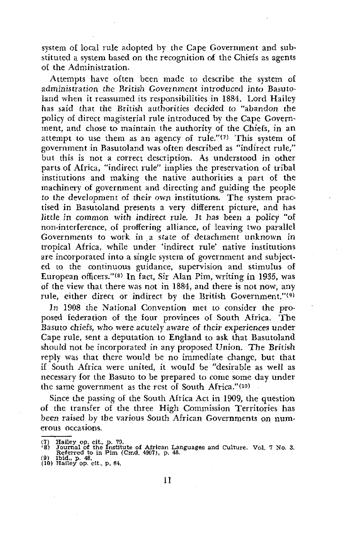system of local rule adopted by the Cape Government and substituted a system based on the recognition of the Chiefs as agents of the Administration.

Attempts have often been made to describe the system of administration the British Government introduced into Basutoland when it reassumed its responsibilities in 1884. Lord Hailey has said that the British authorities decided to "abandon the policy of direct magisterial rule introduced by the Cape Government, and chose to maintain the authority of the Chiefs, *in* an attempt to use them as an agency of rule." $(7)$  This system of government in Basutoland was often described as "indirect rule," but this is not a correct description. As understood in other parts of Africa, "indirect rule" implies the preservation of tribal institutions and making the native authorities a part of the machinery of government and directing and guiding the people to the development of their own institutions. The system practised in Basutoland presents a very different picture, and has Jittle *in common* with indirect rule. It has been a policy "of non-interference, of proffering alliance, of leaving two parallel Governments to work in a state of detachment unknown in tropical Africa, while under 'indirect rule' native institutions are incorporated into a single system of government and subjected to the continuous guidance, supervision and stimulus of ed to the commusics gardinel, supervision and commutes of<br>European officers."<sup>(8)</sup> In fact, Sir Alan Pim, writing in 1935, was of the view that there was not in 1884, and there is not now, any rule, either direct or indirect by the British Government."<sup>(9)</sup>

In 1908 the National Convention met to consider the proposed federation of the four provinces of South Africa. The Basuto chiefs, who were acutely *aware* of their experiences under Cape rule, sent a deputation to England to ask that Basutoland should not be incorporated in any proposed Union. The British reply was that there would be no immediate change, but that if South Africa were united, it would be "desirable as well as necessary for the Basuto to be prepared to come some day under the same government as the rest of South Africa."<<sup>10</sup>)

Since the passing of the South Africa Act in 1909, the question of the transfer of the three High Commission Territories has been raised by the various South African Governments on numerous occasions.

<sup>(7)</sup> Hailey op. cit., p. 79. '8) Journal of the Institute of African Languages and Culture. Vol. 7 No. 3. Referred to in Pim (Cmd. 4907), p. 48. (9) Ibid- p. 48. (10) Hailey op. cit., p. 64.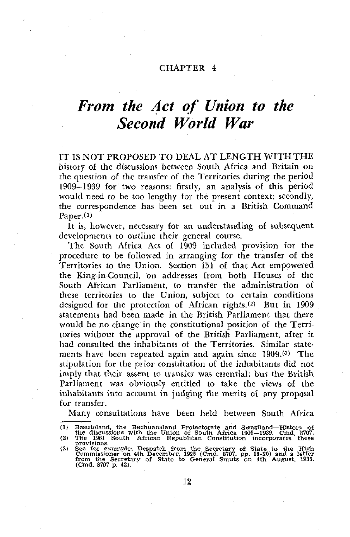## *From the Act of Union to the Second World War*

IT IS NOT PROPOSED TO DEAL AT LENGTH WITH THE history of the discussions between South Africa and Britain on the question o£ the transfer of the Territories during the period 1909—1939 for two reasons: firstly, an analysis of this period would need to be too lengthy for the present context: secondly, the correspondence has been set out in a British Command Paper. *^*

It is, however, necessary for an understanding of subsequent developments to outline their general course.

The South Africa Act o£ 1909 included provision for the procedure to be followed in arranging for the transfer of the Territories to the Union. Section 151 of that Act empowered the King-in-Council, on addresses from both Houses of the South African Parliament, to transfer the administration of these territories to the Union, subject to certain conditions designed for the protection of African rights.<sup>(2)</sup> But in 1909 statements had been made in the British Parliament that there would be no change in the constitutional position of the Territories without the approval of the British Parliament, after it had consulted the inhabitants of the Territories. Similar statements have been repeated again and again since 1909.<sup>(3)</sup> The stipulation for the prior consultation of the inhabitants did not imply that their assent to transfer was essential; but the British Parliament was obviously entitled to take the views of the inhabitants into account in judging the merits of any proposal for transfer.

Many consultations have been held between South Africa

<sup>(1)</sup> Basutoland, the Bechuanaland Protectorate and Swaziland—History of<br>the discussions with the Union of South Africa 1909—1939. Cmd. 8707.<br>(2) The 1961 South African Republican Constitution incorporates these<br>provisions.

<sup>(3)</sup> See for example: Despatch from the Secretary of State to the High Commissioner on 4th December, 1925 (Cmd. 8707, pp. 18-20) and a letter from the Secretary of State to General Smuts on 4th August, 1935.<br>(Cmd. 8707 p.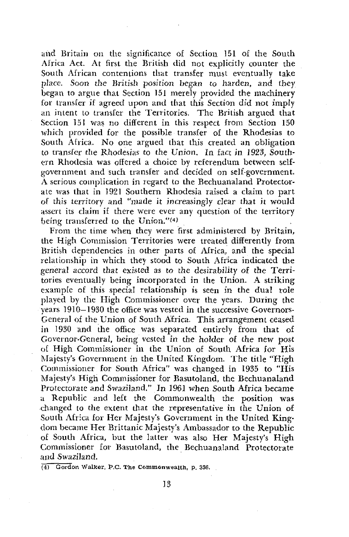and Britain on the significance of Section 151 of the South Africa Act. At first the British did not explicitly counter the South African contentions that transfer must eventually take place. Soon the British *position* began *to* harden, and they began to argue that Section 151 merely provided the machinery for transfer if agreed upon and that this Section did not imply an intent to transfer the Territories. The British argued that Section 151 was no different in this respect from Section 150 which provided for the possible transfer of the Rhodesias to South Africa. No one argued that this created an obligation to transfer the Rhodesias to the *Union.* In fact in 1923, Southern Rhodesia was offered a choice by referendum between selfgovernment and such transfer and derided on self-government. A serious complication in regard to the Bechuanaland Protectorate was that in 1921 Southern Rhodesia raised a claim to part of this territory and "made it increasingly clear that it would assert its claim if there were ever any question of the territory being transferred to the Union."(4)

From the time when they were first administered by Britain, the High Commission Territories were treated differently from British dependencies in other parts of Africa, and the special relationship in which they stood to South Africa indicated the general accord that existed as *to* the desirability of the Territories eventually being incorporated in the Union. A striking example of this special relationship is seen in the dual role played by the High Commissioner over the years. During the years 1910—1930 the office was vested in the successive Governors-General of the Union of South Africa. This arrangement ceased in 1930 and the office was separated entirely from that of Governor-General, being vested *in* the holder of the new post of High Commissioner in the Union of South Africa for His Majesty's Government in the United Kingdom. The title "High Commissioner for South Africa" was changed in 1935 to "His Majesty's High Commissioner for Basutoland, the Bechuanaland *Protectorate* and Swaziland." In 1961 when South Africa became a Republic and left the Commonwealth the position was changed to the extent that the representative *in* the Union of South Africa for Her Majesty's Government in the United Kingdom became Her Brittanic Majesty's Ambassador to the Republic of South Africa, but the latter was also Her Majesty's High Commissioner for Basutoland, the Bechuanaland Protectorate and Swaziland.

(4) Gordon Walker, P.C. The Commonwealth, p. 356.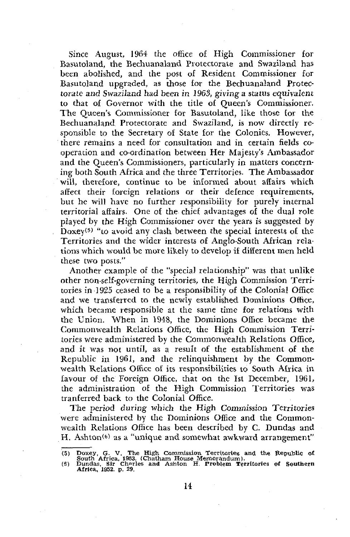Since August, 1964 the office of High Commissioner for Basutoland, the Bechuanaland Protectorate and Swaziland has been abolished, and the post of Resident Commissioner for Basutoland upgraded, as those for the Bechuanaland Protectorate and Swaziland had been in 1963, giving a status equivalent to that of Governor with the title of Queen's Commissioner. The Queen's Commissioner for Basutoland, like those for the Bechuanaland Protectorate and Swaziland, is now directly responsible to the Secretary o£ State for the Colonies. However, there remains a need for consultation and in certain fields cooperation and co-ordination between Her Majesty's Ambassador and the Queen's Commissioners, particularly in matters concerning both South Africa and the three Territories. The Ambassador will, therefore, continue to be informed about affairs which affect their foreign relations or their defence requirements, but he will have no further responsibility for purely internal territorial affairs. One of the chief advantages of the dual role played by the High Commissioner over the years is suggested by  $D$   $\alpha$ y  $\alpha$   $\beta$ ) are respectively commissioned over the special interests of the Territories and the wider interests of Anglo-South, African relations which would be more likely to develop if different men held these two posts."

Another example of the "special relationship" was that unlike other non-self-governing territories, the High Commission Territories in 1925 ceased to be a responsibility of the Colonial Office and we transferred to the newly established Dominions Office, which became responsible at the same time for relations with the Union. When in 1948, the Dominions Office became the Commonwealth Relations Office, the High Commission Territories were administered by the Commonwealth Relations Office, and it was not until, as a result of the establishment of the Republic in 1961, and the relinquishment by the Commonwealth Relations Office of its responsibilities to South Africa in favour of the Foreign Office, that on the 1st December, 1961, the administration of the High Commission Territories was tranferred back to the Colonial Office.

The period during which the High Commission Territories were administered by the Dominions Office and the Commonwealth Relations Office has been described by C. Dundas and H. Ashton $(6)$  as a "unique and somewhat awkward arrangement"

<sup>(5)</sup> Doxey, G. V. The High. Commission Territories and the Republic of South Africa, 1963. (Chatham House Memorandum). (6) Dundas, Sir Charles and Ashton H. Problem Territories of Southern Africa, 1952. p. 29.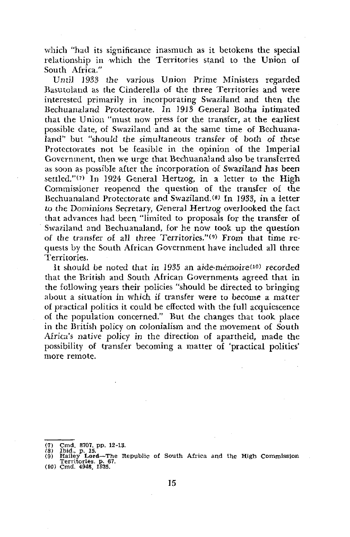which "had its significance inasmuch as it betokens the special relationship in which the Territories stand to the Union of South Africa."

Until 1933 the various Union Prime Ministers regarded Basutoland as the Cinderella of the three Territories and were interested primarily in incorporating Swaziland and then the Bechuanaland Protectorate. In 1913 General Botha intimated that the Union "must now press for the transfer, at the earliest possible date, of Swaziland and at the same time of Bechuanaland" but "should the simultaneous transfer of both of these Protectorates not be feasible in the opinion of the Imperial Government, then we urge that Bechuanaland also be transferred as soon as possible after the incorporation of Swaziland has been settled." $(7)$  In 1924 General Hertzog, in a letter to the High Commissioner reopened the question of the transfer of the Bechuanaland Protectorate and Swaziland.<sup>(8)</sup> In 1933, in a letter to the Dominions Secretary, General Hertzog overlooked the fact that advances had been "limited to proposals for the transfer of Swaziland and Bechuanaland, for he now took up the question of the transfer of all three Territories."<sup>(9)</sup> From that time requests by the South African Government have included all three Territories.

It should be noted that in 1935 an aide-mémoire<sup>(10)</sup> recorded that the British and South African Governments agreed that in the following years their policies "should be directed to bringing about a situation in which if transfer were to become a matter of practical politics it could be effected with the full acquiescence of the population concerned." But the changes that took place in the British policy on colonialism and the movement of South Africa's native policy in the direction of apartheid, made the possibility of transfer becoming a matter of 'practical politics' more remote.

*<sup>(1)</sup>* Cmd. 8707. pp. 12-13.

<sup>(8)</sup> Ibid., p. 15.<br>(9) Hailey Lord—The Republic of South Africa and the High Commission<br>Territories, p. 67.<br>(10) Cmd. 4948, 1935.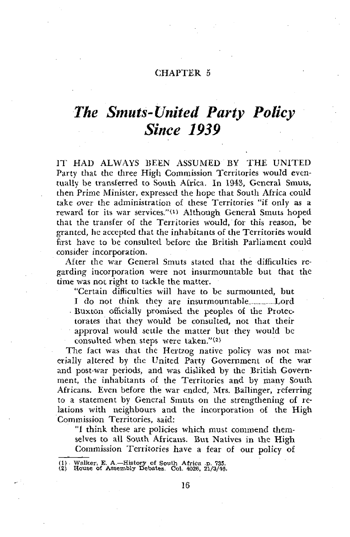## *The Smuts-United Party Policy Since 1939*

IT HAD ALWAYS BEEN ASSUMED BY THE UNITED Party that the three High Commission Territories would eventually be transferred to South Africa. In 1943, General Smuts, then Prime Minister, expressed the hope that South Africa could take over the administration of these Territories "if only as a reward for its war services."<sup>(1)</sup> Although General Smuts hoped that the transfer of the Territories would, for this reason, be granted, he accepted that the inhabitants of the Territories would first have to be consulted before the British Parliament could consider incorporation.

After the war General Smuts stated that the difficulties regarding incorporation were not insurmountable but that the time was not right to tackle the matter.

"Certain difficulties will have to be surmounted, but I do not think they are insurmountable Lord Buxton officially promised the peoples of the Protectorates that they would be consulted, not that their approval would settle the matter but they would be consulted when steps were taken."(2)

The fact was that the Hertzog native policy was not materially altered by the United Party Government of the war and post-war periods, and was disliked by the British Government, the inhabitants of the Territories and by many South. Africans. Even before the war ended, Mrs. Ballinger, referring to a statement by General Smuts on the strengthening of relations with neighbours and the incorporation of the High Commission Territories, said:

"1 think these are policies which must commend themselves to all South Africans. But Natives in the High Commission Territories have a fear of our policy of

<sup>(1)</sup> Walker, E. A.—History of South Africa .p. 735.

<sup>(2)</sup> House Of Assembly Debates. Col. 4026, 21/3/46.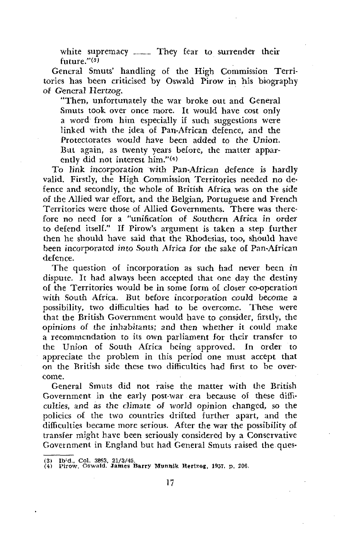white supremacy ........... They fear to surrender their future."\*<sup>3</sup> \*

General Smuts' handling of the High Commission Territories has been criticised by Oswald Pirow in his biography of General Hertzog.

"Then, unfortunately the war broke out and General Smuts took over once more. It would have cost only a word from him especially if such suggestions were linked with the idea of Pan-African defence, and the Protectorates would have been added to the Union. But again, as twenty years before, the matter apparently did not interest him."(4)

To link incorporation with Pan-African defence is hardly valid. Firstly, the High Commission Territories needed no defence and secondly, the whole of British Africa was on the side of the Allied war effort, and the Belgian, Portuguese and French Territories were those of Allied Governments. There was therefore no need for a "unification of Southern Africa *in* order to defend itself." If Pirow's argument is taken a step further then he should have said that the Rhodesias, too, should have been incorporated into *South* Africa for the sake of Pan-African defence.

The question of incorporation as such had never been in dispute. It had always been accepted that one day the destiny of the Territories would be in some form of closer co-operation with South Africa. But before incorporation could become a possibility, two difficulties had to be overcome. These were that the British Government would have to consider, firstly, the opinions of the inhabitants; and then whether it could make a recommendation to its own parliament for their transfer to the Union of South Africa being approved. In order to appreciate the problem in this period one must accept that on the British side these two difficulties had first to be overcome.

General Smuts did not raise the matter with the British Government in the early post-war era because of these difficulties, and as the *dimate* of world opinion changed, so the policies of the two countries drifted further apart, and the difficulties became more serious. After the war the possibility of transfer might have been seriously considered by a Conservative Government in England but had General Smuts raised the ques-

(3) Ibid., Col. 3863, 21/3/45.

<sup>(4)</sup> Pirow. Oswald. James Barry Munnik Hertzog, 1957. p. 206,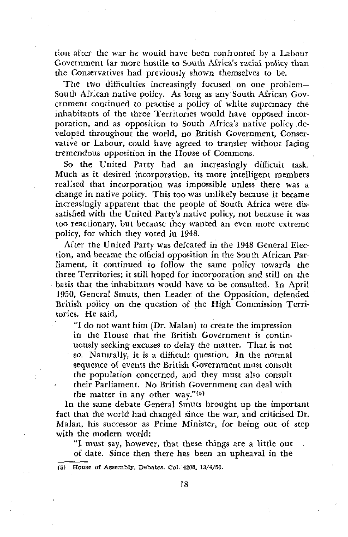tion after the war he would have been confronted by a Labour Government far more hostile to South Africa's racial policy than the Conservatives had previously shown themselves to be.

The two difficulties increasingly focused on one problem-South African native policy. As long as any South African Government continued to practise a policy of white supremacy the inhabitants of the three Territories would have opposed incorporation, and as opposition to South Africa's native policy developed throughout the world, no British Government, Conservative or Labour, could have agreed to transfer without facing tremendous opposition in the House of Commons.

So the United Party had an increasingly difficult task. Much as it desired incorporation, its more intelligent members realised that incorporation was impossible unless there was a change in native policy. This too was unlikely because it became increasingly apparent that the people of South Africa were dissatisfied with the United Party's native policy, not because it was too reactionary, but because they wanted an even more extreme policy, for which they voted in 1948.

After the United Party was defeated in the 1948 General Election, and became the official opposition in the South African Parliament, it continued to follow the same policy towards the three Territories; it still hoped for incorporation and still on the basis that the inhabitants would have to be consulted. In April 1950, General Smuts, then Leader of the Opposition, defended British policy on the question of the High Commission Territories. He said,

"I do not want him (Dr. Malan) to create the impression in the House that the British Government is continuously seeking excuses to delay the matter. That is not so. Naturally, it is a difficult question. In the normal sequence of events the British Government must consult the population concerned, and they must also consult their Parliament. No British Government can deal with the matter in any other way." $(5)$ 

In the same debate General Smuts brought up the important fact that the world had changed since the war, and criticised Dr. Malan, his successor as Prime Minister, for being out of step with the modern world:

"I must say, however, that these things are a little out of date. Since then there has been an upheaval in the

(5) House of Assembly. Debates. Col. 4208. 13/4/50.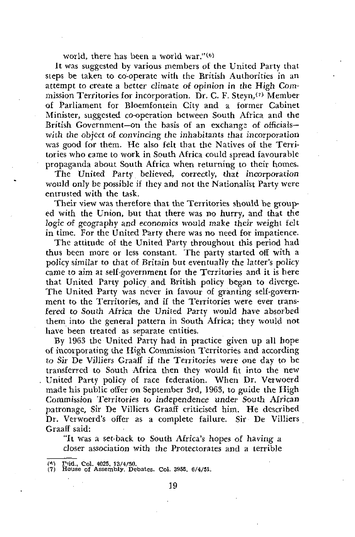world, there has been a world war."(6)

It was suggested by various members of the United Party that steps be taken to co-operate with the British Authorities in an attempt to create a better climate of opinion *in* the High Commission Territories for incorporation. Dr. C. F. Steyn,<sup>(7)</sup> Member of Parliament for Bloemfontein City and a former Cabinet Minister, suggested co-operation between South Africa and the British Government—on the basis of an exchange of officials with the object *ot convincing* the inhabitants that incorporation was good for them. He also felt that the Natives of the Territories who came to work in South Africa could spread favourable propaganda about South Africa when returning to their homes.

The United Party believed, correctly, that incorporation would only be possible if they and not the Nationalist Party were entrusted with the task.

Their view was therefore that the Territories should be grouped with the Union, but that there was no hurry, and that the *logic of.* geography and economics would make their weight felt in time. For the United Party there was no need for impatience.

The attitude of the United Party throughout this period had thus been more or less constant. The party started off with a policy similar to that of Britain but eventually the latter's policy came to aim at self-government for the Territories and it is here that United Party policy and British policy began to diverge. The United Party was never in favour of granting self-government to the Territories, and if the Territories were ever transfered to South Africa the United Party would have absorbed them into the general pattern in South Africa; they would not have been treated as separate entities.

By 1963 the United Party had in practice given up all hope of incorporating the High Commission Territories and according to Sir De Villiers Graaff if the Territories were one day to be transferred to South Africa then they would fit into the new United Party policy of race federation. When Dr. Verwoerd made his public offer on September 3rd, 1963, to guide the High Commission Territories to independence under South African patronage. Sir De Villiers Graaff criticised him. He described Dr. Verwoerd's offer as a complete failure. Sir De Villiers Graaff said:

"It was a set-back to South Africa's hopes of having a closer association with the Protectorates and a terrible

*<sup>(\*)</sup>* IMd., Col. 4025, 13/4/50.

 $(7)$  House of Assembly, Depates. Col. 3955, 6/4/51.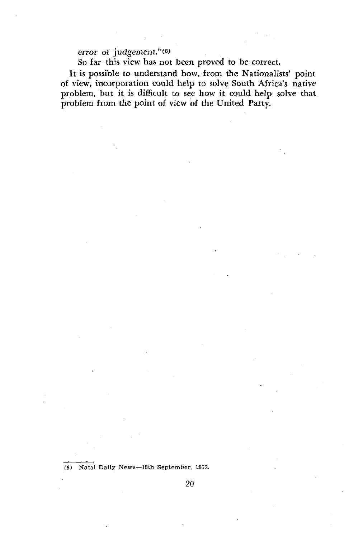error of judgement."<sup>(8)</sup>

So far this view has not been proved to be correct.

It is possible to understand how, from the Nationalists' point of view, incorporation could help to solve South Africa's native problem, but it is difficult to see how it could help solve that problem from the point of view of the United Party.

(8) Natal Daily News—18th September, 19S3.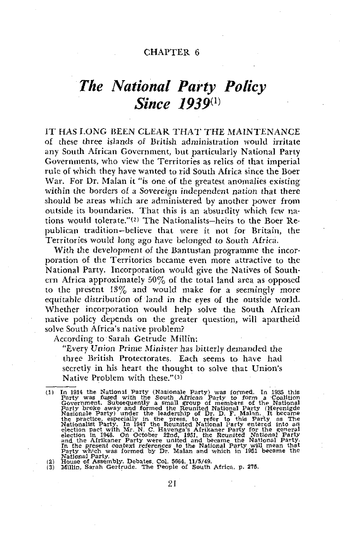## *The National Party Policy Since 1939™*

IT HAS LONG BEEN CLEAR THAT THE MAINTENANCE of these three islands of British administration would irritate any South African Government, but particularly National Party Governments, who view the Territories as relics of that imperial rule of which they have wanted to rid South Africa since the Boer War. For Dr. Malan it "is one of the greatest anomalies existing within the borders of a Sovereign *independent nation* that there should be areas which are administered by another power from outside its boundaries. That this is an absurdity which few nations would tolerate."\*<sup>2</sup> ' The Nationalists—heirs to the Boer Republican tradition—believe that were it not for Britain, the Territories would long ago have belonged to South Africa.

With the development of the Bantustan programme the incorporation of the Territories became even more attractive to the National Party. Incorporation would give the Natives of Southern Africa approximately 50% of the total land area as opposed to the present 13% and would make for a seemingly more equitable distribution of land in the eyes of the outside world. Whether incorporation would help solve the South African native policy depends on the greater question, will apartheid solve South Africa's native problem?

According to Sarah Getrude Millin:

"Every Union Prime Minister has bitterly demanded the three British Protectorates. Each seems to have had secretly in his heart the thought to solve that Union's Native Problem with these."(3)

(2) House of Assembly. Debates. Col. 5664. 11/5/49. (3) Millin, Sarah Gertrude. The People of South Africa, p. 275.

<sup>(1)</sup> In 1914 the National Party (Nasionale Party) was formed. In 1935 this Party was fused with the South African Party to form a Coalition Government. Subsequently a small group of members of the National Party broke away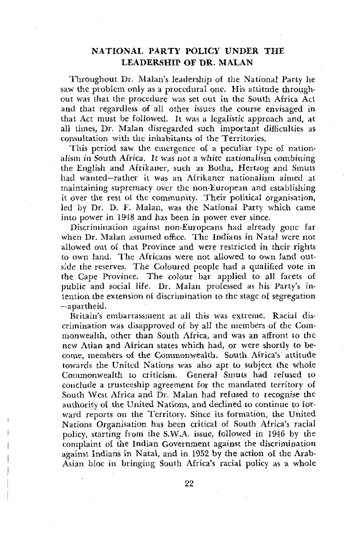## **NATIONAL PARTY POLICY UNDER THE LEADERSHIP OF DR. MALAN**

Throughout Dr. Malan's leadership of the National Party he saw the problem only as a procedural one. His attitude throughout was that the procedure was set out in the South Africa Act and that regardless of all other issues the course envisaged in that Act must be followed. It was a legalistic approach and, at all times, Dr. Malan disregarded such important difficulties as consultation with the inhabitants of the Territories.

This period saw the emergence of a peculiar type of nationalism in South Africa. It was not a white nationalism combining the English and Afrikaner, such as Botha, Hertzog and Smuts had wanted—rather it was an Afrikaner nationalism aimed at maintaining supremacy over the non-European and establishing it over the rest ot the community. Their political organisation, led by Dr. D. F. Malan, was the National Party which came into power in 1948 and has been in power ever since.

Discrimination against non-Europeans had already gone far when Dr. Malan assumed office. The Indians in Natal were not •allowed out of that Province and were restricted in their rights to own land. The Africans were not allowed to own land outside the reserves. The Coloured people had a qualified vote in the Cape Province. The colour bar applied to all facets of public and social life. Dr. Malan professed as his Party's intention the extension of discrimination to the stage of segregation —apartheid.

Britain's embarrassment at all this was extreme. Racial discrimination was disapproved of by all the members of the Commonwealth, other than South Africa, and was an affront to the new Asian and African states which had, or were shortly to become, members of the Commonwealth. South Africa's attitude towards the United Nations was also apt to subject the whole Commonwealth to criticism. General Smuts had refused to conclude a trusteeship agreement for the mandated territory of South West Africa and Dr. Malan had refused to recognise the authority ot the United Nations, and declined to continue to forward reports on the Territory. Since its formation, the United Nations Organisation has been critical of South Africa's racial policy, starting from the S.W.A. issue, followed in 1946 by the complaint of the Indian Government against the discrimination against Indians in Natal, and in 1952 by the action of the Arab-Asian bloc in bringing South Africa's racial policy as a whole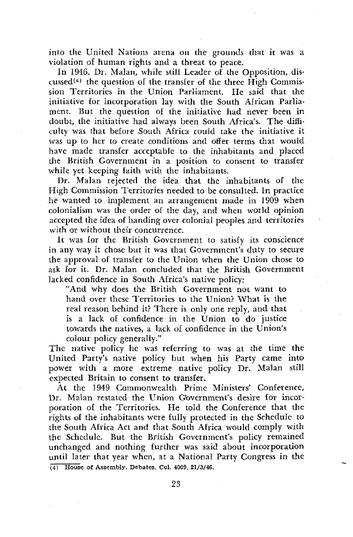into the United Nations arena on the grounds that it was a violation of human rights and a threat to peace.

In 1946, Dr. Malan, while still Leader of the Opposition, discussed<sup> $(4)$ </sup> the question of the transfer of the three High Commission Territories in the Union Parliament. He said that the initiative for incorporation lay with the South African Parliament. But the question of the initiative had never been in doubt, the initiative had always been South Africa's. The difficulty was that before South Africa could take the initiative it was up to her to create conditions and offer terms that would have made transfer acceptable to the inhabitants and placed the British Government in a position to consent to transfer while yet keeping faith with the inhabitants.

Dr. Malan rejected the idea that the inhabitants of the High Commission Territories needed to be consulted. In practice he wanted to implement an arrangement made in 1909 when colonialism was the order of the day, and when world opinion accepted the idea of handing over colonial peoples and territories with or without their concurrence.

It was for the British Government to satisfy its conscience in any way it chose but it was that Government's duty to secure the approval of transfer to the Union when the Union chose to ask for it. Dr. Malan concluded that the British Government lacked confidence in South Africa's native policy:

"And why does the British Government not want to hand over these Territories to the Union? What is the real reason behind it? There is only one reply, and that is a lack of confidence in the Union to do justice towards the natives, a lack of confidence in the Union's colour policy generally."

The native policy he was referring to was at the time the United Party's native policy but when his Party came into power with a more extreme native policy Dr. Malan still expected Britain to consent to transfer.

At the 1949 Commonwealth Prime Ministers' Conference, Dr. Malan restated the Union Government's desire for incorporation of the Territories. He told the Conference that the rights of the inhabitants were fully protected in the Schedule to the South Africa Act and that South Africa would comply with the Schedule. But the British Government's policy remained unchanged and nothing further was said about incorporation until later that year when, at a National Party Congress in the  $\overline{(4)}$  House of Assembly. Debates. Col. 4009, 21/3/46.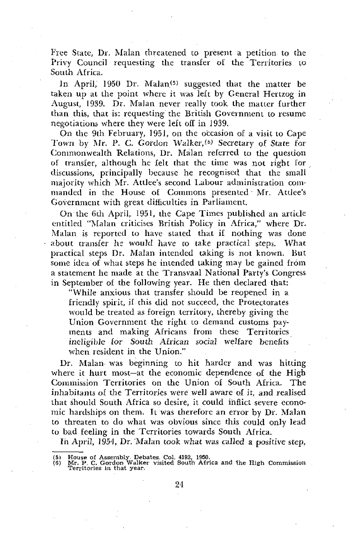Free State, Dr. Malan threatened to present a petition to the Privy Council requesting the transfer of the Territories to South Africa.

In April, 1950 Dr. Malan<sup>(5)</sup> suggested that the matter be taken up at the point where it was left by General Hertzog in August, 1939. Dr. Malan never really took the matter further than this, that is: requesting the British Government to resume negotiations where they were left off in 1939.

On the 9th February, 1951, on the occasion of a visit to Cape Town by Mr. P. C. Gordon Walker,<sup>(5)</sup> Secretary of State for Commonwealth Relations, Dr. Malan referred to the question of transfer, although he felt that the time was not right for discussions, principally because he recognised that the small majority which Mr. Attlee's second Labour administration commanded in the House of Commons presented - Mr. Attlee's Government with great difficulties in Parliament.

On the 6th April, 1951, the Cape Times published an article entitled "Malan criticises British Policy in Africa," where Dr. Malan is reported to have stated that i£ nothing was done about transfer he would have to take practical steps. What practical steps Dr. Malan intended taking is not known. But some idea of what steps he intended taking may be gained from a statement he made at the Transvaal National Party's Congress in September of the following year. He then declared that:

"While anxious that transfer should be reopened in a friendly spirit, if this did not succeed, the Protectorates would be treated as foreign territory, thereby giving the Union Government the right to demand customs payments and making Africans from these Territories ineligible for South African social welfare benefits when resident in the Union."

Dr. Malan was beginning to hit harder and was hitting where it hurt most—at the economic dependence of the High Commission Territories on the Union of South Africa. The inhabitants of the Territories were well aware of it, and realised that should South Africa so desire, it could inflict severe economic hardships on them. It was therefore an error by Dr. Malan to threaten to do what was obvious since this could only lead to bad feeling in the Territories towards South Africa.

In April, 1954, Dr. Malan took what was called a positive step,

<sup>(5)</sup> House of Assembly. Debates. Col. 4192, 1950. (6) Mr. P. C. Gordon Walker visited South Africa and the High Commission Territories in that year.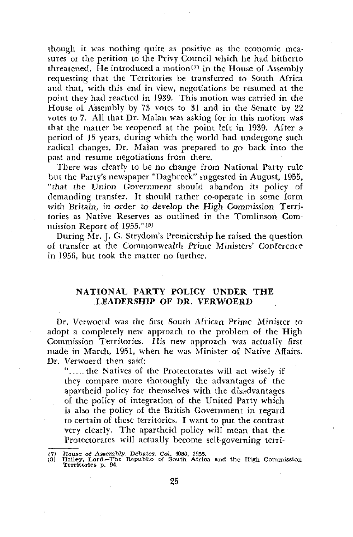though it was nothing quite as positive as the economic measures or the petition to the Privy Council which he had hitherto threatened. He introduced a motion(7) in the House of Assembly requesting that the Territories be transferred to South Africa and that, with this end in view, negotiations be resumed at the point they had reached in 1939. This motion was carried in the House of Assembly by 73 votes to 31 and in the Senate by 22 votes to 7. All that Dr. Malan was asking for in this motion was that the matter be reopened at the point left in 1939. After a period of 15 years, during which the world had undergone such radical changes. Dr. Malan was prepared to go back into the past and resume negotiations from there.

There was clearly to be no change from National Party rule but the Party's newspaper "Dagbreek" suggested in August, 1955, "that the Union Government should abandon its policy of demanding transfer. It should rather co-operate in some form with Britain, *in order to* develop the High Commission Territories as Native Reserves as outlined in the Tomlinson Commission Report of 1955."<sup>(8)</sup>

During Mr. J. G. Strydom's Premiership he raised the question of transfer at the Commonwealth Prime Ministers' Conference in 1956, but took the matter no further.

#### **NATIONAL PARTY POLICY UNDER THE LEADERSHIP OF DR. VERWOERD**

Dr. Verwoerd was the first South African Prime Minister *to* adopt a completely new approach to the problem of the High Commission Territories. His new approach was actually first made in March, 1951, when he was Minister of Native Affairs. Dr. Verwoerd then said:

"......... the Natives of the Protectorates will act wisely if they compare more thoroughly the advantages of the apartheid policy for themselves with the disadvantages of the policy of integration of the United Party which is also the policy of the British Government in regard to certain of these territories. I want to put the contrast very clearly. The apartheid policy will mean that the Protectorates will actually become self-governing terri-

<sup>(7)</sup> House of Assembly. Debates. Col. 4080, 1955. (8) Hailey, **Lord—**The Republic of South Africa and the High Commission Territories p. 94.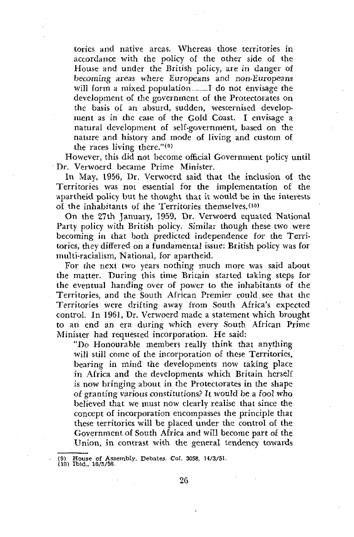tories and native areas. Whereas those territories in accordance with the policy of the other side of the House and under the British policy, are in danger of becoming areas where Europeans and non-Europeans will form a mixed population I do not envisage the development of the government of the Protectorates on the basis of an absurd, sudden, westernised development as in the case of the Gold Coast. I envisage a natural development of self-government, based on the nature and history and mode of living and custom of the races living there."(9)

However, this did not become official Government policy until Dr. Verwoerd became Prime Minister.

In May, 1956, Dr. Verwoerd said that the inclusion of the Territories was not essential for the implementation of the apartheid policy but he thought that it would be in the interests of the inhabitants of the Territories themselves/<sup>10</sup>)

On the 27th January, 1959, Dr. Verwoerd equated National Party policy with British policy. Similar though these two were becoming in that both predicted independence for the Territories, they differed on a fundamental issue: British policy was for multi-racialism, National, for apartheid.

For the next two years nothing much more was said about the matter. During this time Britain started taking steps for the eventual handing over of power to the inhabitants of the Territories, and the South African Premier could.see that the Territories were drifting away from South Africa's expected control. In 1961, Dr. Verwoerd made a statement which brought to an end an era during which every South African Prime Minister had requested incorporation. He said:

"Do Honourable members really think that anything will still come of the incorporation of these Territories, bearing in mind the developments now taking place in Africa and the developments which Britain herself is now bringing about in the Protectorates in the shape of granting various constitutions? It would be a fool who believed that we must now clearly realise that since the concept of incorporation encompasses the principle that these territories will be placed under the control of the Government of South Africa and will become part of the Union, jn contrast with the general tendency towards

<sup>(9)</sup> House of Assembly. Debates. Col. 3058, 14/3/51.

<sup>(10)</sup> Ibid., 16/5/56.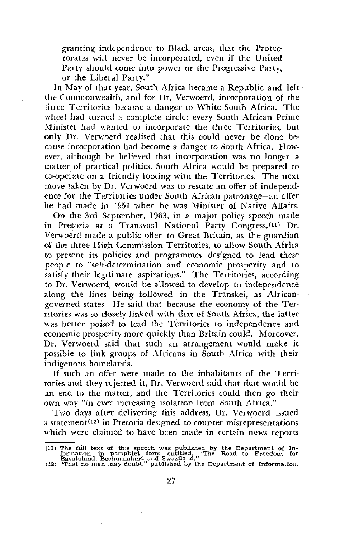granting independence to Black areas, that the Protectorates will never be incorporated, even if the United Party should come into power or the Progressive Party, or the Liberal Party."

In May of that year, South Africa became a Republic and left the Commonwealth, and for Dr. Verwoerd, incorporation of the three Territories became a danger to White South Africa. The wheel had turned a complete circle; every South African Prime Minister had wanted to incorporate the three Territories, but only Dr. Verwoerd realised that this could never be done because incorporation had become a danger to South Africa. However, although he believed that incorporation was no longer a matter of practical politics, South Africa would be prepared to co-operate on a friendly footing with the Territories. The next move taken by Dr. Verwoerd was to restate an offer of independence for the Territories under South African patronage—an offer he had made in 1951 when he was Minister of Native Affairs.

On the 3rd September, 1963, in a major policy speech made in Pretoria at a Transvaal National Party Congress/<sup>11</sup>) Dr. Verwoerd made a public offer to Great Britain, as the guardian of the three High Commission Territories, to allow South Africa to present its policies and programmes designed to lead these people to "self-determination and economic prosperity and to satisfy their legitimate aspirations." The Territories, according to Dr, Verwoerd, would be allowed to develop to independence along the lines being followed in the Transkei, as Africangoverned states. He said that because the economy of the Territories was so closely linked with that of South Africa, the latter was better poised to lead the Territories to independence and economic prosperity more quickly than Britain could. Moreover, Dr. Verwoerd said that such an arrangement would make it possible to link groups of Africans in South Africa with their indigenous homelands.

If such an offer were made to the inhabitants of the Territories and they rejected it, Dr. Verwoerd said that that would be an end to the matter, and the Territories could then go their own way "in ever increasing isolation from South Africa."

Two days after delivering this address, Dr. Verwoerd issued a statement<sup>(12)</sup> in Pretoria designed to counter misrepresentations which were claimed to have been made in certain news reports

<sup>(11)</sup> The full text of this speech was published by the Department of Information in pamphlet form entitled, "The Road to Freedom for Sasutoland, Bechuanaland and Superline (12) "That no man may doubt," published by the De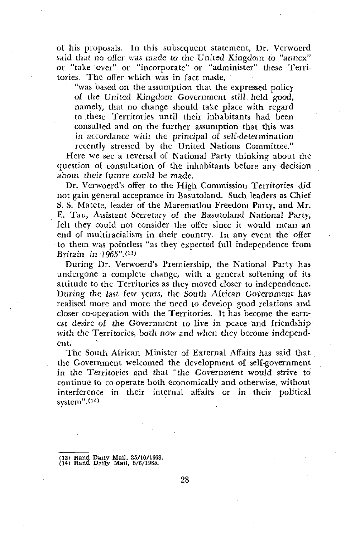of his proposals. In this subsequent statement, Dr. Verwoerd said that no offer was made to the United Kingdom to "annex" or "take over" or "incorporate" or "administer" these Territories. The offer which was in fact made,

"was based on the assumption that the expressed policy of the United Kingdom Government still held good, namely, that no change should take place with regard to these Territories until their inhabitants had been consulted and on the further assumption that this was in accordance with the principal of self-determination recently stressed by the United Nations Committee."

Here we see a reversal of National Party thinking about the question *ol* consultation of the inhabitants before any decision about their future could be made.

Dr. Verwoerd's offer to the High Commission Territories did not gain general acceptance in Basutoland. Such leaders as Chief S. S. Matete, leader of the Marematlou Freedom Party, and Mr. E. Tau, Assistant Secretary of the Basutoland National Party, felt they could not consider the offer since it would mean an end of multiracialism in their country. In any event the offer to them was pointless "as they expected full independence from Britain in 1965".<sup>(13)</sup>

During Dr. Verwoerd's Premiership, the National Party has undergone a complete change, with a general softening of its attitude to the Territories as they moved closer to independence. During the last few years, the South African Government has realised more and more the need to develop good relations and closer co-operation with the Territories. It has become the earnest desire of the Government to live in peace and friendship with the Territories, both now and when they become independent.

The South African Minister of External Affairs has said that the Government welcomed the development of self-government in the Territories and that "the Government would strive to continue to co-operate both economically and otherwise, without interference in their internal affairs or in their political system". (<sup>14</sup>>

<sup>(13)</sup> Rand Daily Mail. 25/10/1963. (14) Rand Daily Mail, 5/6/1965.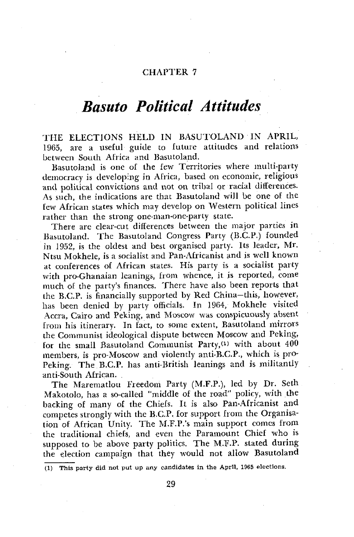## *Basuto Political Attitudes*

THE ELECTIONS HELD IN BASUTOLAND IN APRIL, 1965, are a useful guide to future attitudes and relations between South Africa and Basutoland,

Basutoland is one of the few Territories where multi-party democracy is developing in Africa, based on economic, religious and political convictions and not on tribal or racial differences. As such, the indications are that Basutoland will be one of the few African states which may develop on Western political lines rather than the strong one-man-one-party state.

There are clear-cut differences between the major parties in Basutoland. The Basutoland Congress Party (B.C.P.) founded in 1952, is the oldest and best organised party. Its leader, Mr. Ntsu Mokhele, is a socialist and Pan-Africanist and is well known at conferences of African states. His party is a socialist party with pro-Ghanaian leanings, from whence, it is reported, come much of the party's finances. There have also been reports that the B.C.P. is financially supported by Red China—this, however, has been denied by party officials. In 1964, Mokhele visited Accra, Cairo and Peking, and Moscow was conspicuously absent from his itinerary. In fact, to some extent, Basutoland mirrors the Communist ideological dispute between Moscow and Peking, for the small Basutoland Communist Party,<sup>(1)</sup> with about 400 members, is pro-Moscow and violently anti-B.C.P., which is pro-Peking. The B.C.P. has anti-British leanings and is militantly anti-South African.

The Marematlou Freedom Party (M.F.P.), led by Dr. Seth Makotolo, has a so-called "middle of the road" policy, with the backing of many of the Chiefs. It is also Pan-Africanist and competes strongly with the B.C.P. for support from the Organisation of African Unity. The M.F.P.'s main support comes from the traditional chiefs, and even the Paramount Chief who is supposed to be above party politics. The M/F.P. stated during the election campaign that they would not allow Basutoland

(1) This party did not put up any candidates in the April, 1965 elections.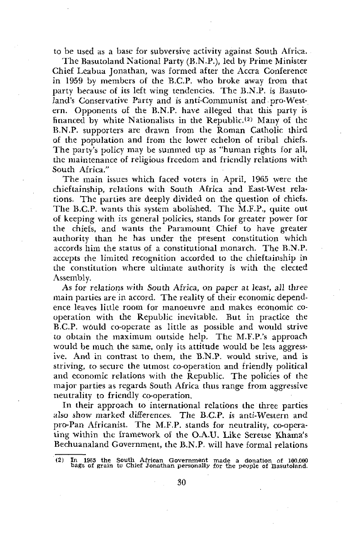to be used as a base for subversive activity against South Africa.

The Basutoland National Party (B.N.P.), led by Prime Minister Chief Leabua Jonathan, was formed after the Accra Conference in 1959 by members of the B.C.P. who broke away from that party because of its left wing tendencies. The B.N.P. is Basuto-Iand's Conservative Party and is anti-Communist and pro-Western. Opponents of the B.N.P. have alleged that this party is financed by white Nationalists in the Republic.<sup>(2)</sup> Many of the B.N.P. supporters are drawn from the Roman Catholic third of the population and from the lower echelon of tribal chiefs. The party's policy may be summed up as "human rights for all, the maintenance of religious freedom and friendly relations with South Africa."

The main issues which faced voters in April, 1965 were the chieftainship, relations with South Africa and East-West relations. The parties are deeply divided on the question of chiefs. The B.C.P. wants this system abolished. The M.F.P., quite out of keeping with its general policies, stands for greater power for the chiefs, and wants the Paramount Chief to have greater authority than he has under the present constitution which accords him the status of a constitutional monarch. The B.N.P. accepts the limited recognition accorded to the chieftainship in the constitution where ultimate authority is with the elected Assembly.

As for relations with South Africa, *on* paper *at least, all* three main parties are in accord. The reality of their economic dependence leaves little room for manoeuvre and makes economic cooperation with the Republic inevitable. But in practice the B.C.P. w6uld co-operate as little as possible and would strive to obtain the maximum outside help. The M.F.P.'s approach would be much the same, only its attitude would be less aggressive. And in contrast to them, the B.N.P. would strive, and is striving, to secure the utmost co-operation and friendly political and economic relations with the Republic. The policies of the major parties as regards South Africa thus range from aggressive neutrality to friendly co-operation.

In their approach to international relations the three parties also show marked differences. The B.C.P. is anti-Western and pro-Pan Africanist. The M.F.P. stands for neutrality, co-operating within the framework of the O.A.U. Like Seretse Khama's Bechuanaland Government, the B.N.P. will have formal relations

<sup>(2)</sup> In 1965 the South African Government made a donation of 100,000 bags of grain to Chief Jonathan personally for the people of Basutoland.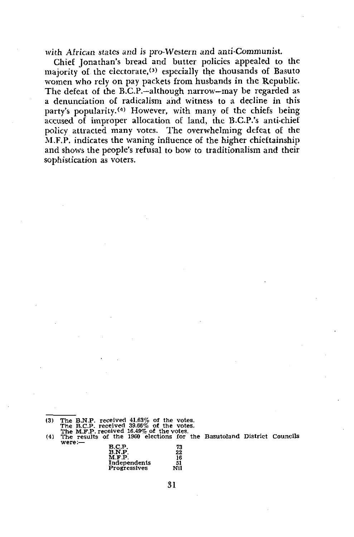with African states and is pro-Western and anti-Communist.

Chief Jonathan's bread and butter policies appealed to the majority of the electorate,<sup>(3)</sup> especially the thousands of Basuto women who rely on pay packets from husbands in the Republic. The defeat of the B.C.P.—although narrow—may be regarded as a denunciation of radicalism and witness to a decline in this party's popularity.<sup>(4)</sup> However, with many of the chiefs being accused of improper allocation of land, the B.C.P.'s anti-chief policy attracted many votes. The overwhelming defeat of the M.F.P. indicates the waning influence of the higher chieftainship and shows the people's refusal to bow to traditionalism and their sophistication as voters.

were: received 39.66% of the votes.<br>received 16.49% of the votes.<br>s of the 1960 elections for the Basutoland District Councils

| B.C.P.       | 73  |
|--------------|-----|
| B.N.P.       | 22  |
| M.F.P.       | 16  |
| Independents | 51  |
| Progressives | NII |
|              |     |

<sup>(3)</sup> The<br>The<br>(4) The<br>(3) The B.N.P. B.C.P. M.F.P. result; received 41.63% of the received 39.66% ot the votes.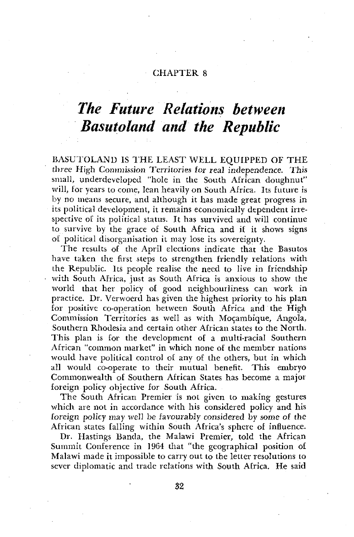## *The Future Relations between Basutoland and the Republic*

BASUTOLAND IS THE LEAST WELL EQUIPPED OF THE three High Commission Territories for real independence. This small, underdeveloped "hole in the South African doughnut" will, for years to come, lean heavily on South Africa. Its future is by no means secure, and although it has made great progress in its political development, it remains economically dependent irrespective of its political status. It has survived and will continue to survive by the grace of South Africa and if it shows signs of political disorganisation it may lose its sovereignty.

The results of the April elections indicate that the Basutos have taken the first steps to strengthen friendly relations with the Republic. Its people realise the need to live in friendship with South Africa, just as South Africa is anxious to show the world that her policy of good neighbourliness can work in practice. Dr. Verwoerd has given the highest priority to his plan for positive co-operation between South Africa and the High Commission Territories as well as with Mozambique, Angola, Southern Rhodesia and certain other African states to the North. This plan is for the development of a multi-racial Southern African "common market" in which none of the member nations would have political control of any of the others, but in which all would co-operate to their mutual benefit. This embryo Commonwealth of Southern African States has become a major foreign policy objective for South Africa.

The South African Premier is not given to making gestures which are not in accordance with his considered policy and his foreign policy may well be favourably considered by *some* of the African states falling within South Africa's sphere of influence.

Dr. Hastings Banda, the Malawi Premier, told the African Summit Conference in 1964 that "the geographical position of Malawi made it impossible to carry out to the letter resolutions to sever diplomatic and trade relations with South Africa. He said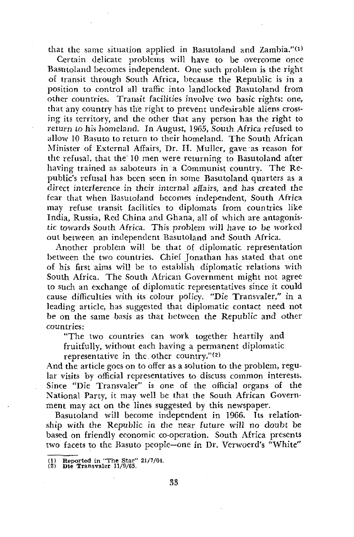that the same situation applied in Basutoland and Zambia." $^{(1)}$ 

Certain delicate problems will have to be overcome once Basutoland becomes independent. One such problem is the right of transit through South Africa, because the Republic is in a position to control all traffic into landlocked Basutoland from other countries. Transit facilities involve two basic rights: one, that any country has the right to prevent undesirable aliens crossing its territory, and the other that any person has the right to return *to* his homeland. *In* August, 1965, South Africa refused to allow 10 Basuto to return to their homeland. The South African Minister o£ External Affairs, Dr. H. Muller, gave as reason for the refusal, that the 10 men were returning to Basutoland after having trained as saboteurs in a Communist country. The Republic's refusal has been seen in some Basutoland quarters as a direct interference in their internal affairs, and has created the fear that when Basutoland becomes independent, South Africa may refuse transit facilities to diplomats from countries like India, Russia, Red China and Ghana, all of which are antagonistic towards South Africa. This problem will have *to* be worked out between an independent Basutoland and South Africa.

Another problem will be that of diplomatic representation between the two countries. Chief Jonathan has stated that one of his first aims will be to establish diplomatic relations with South Africa. The South African Government might not agree to such an exchange of diplomatic representatives since it could cause difficulties with its colour policy. "Die Transvaler," in a leading article, has suggested that diplomatic contact need not be on the same basis as that between the Republic and other countries:

"The two countries can work together heartily and fruitfully, without each having a permanent diplomatic

representative in the other country."(2)

And the article goes on to offer as a solution to the problem, regular visits by official representatives to discuss common interests. Since "Die Transvaler" is one of the official organs of the National Party, it may well be that the South African Government may act on the lines suggested by this newspaper.

Basutoland will become independent in 1966. Its relationship with the Republic in the near future will no doubt be based on friendly economic co-operation. South Africa presents two facets to the Basuto people—one in Dr. Verwoerd's "White"

<sup>(1)</sup> Reported in "The Star" 21/7/64.

<sup>(2)</sup> Die Transvaler 11/9/65.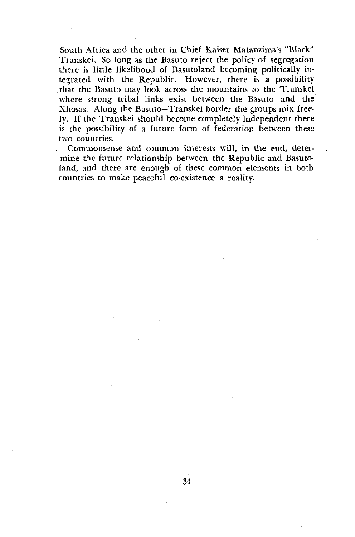South Africa and the other in Chief Kaiser Matanzima's "Black" Transkei. So long as the Basuto reject the policy of segregation there is little likelihood of Basutoland becoming politically integrated with the Republic. However, there is a possibility that the Basuto may look across the mountains to the Transkei where strong tribal links exist between the Basuto and the Xhosas. Along the Basuto—Transkei border the groups mix freely. If the Transkei should become completely independent there is the possibility of a future form of federation between these two countries.

Commonsense and common interests will, in the end, determine the future relationship between the Republic and Basutoland, and there are enough of these common elements in both countries to make peaceful co-existence a reality.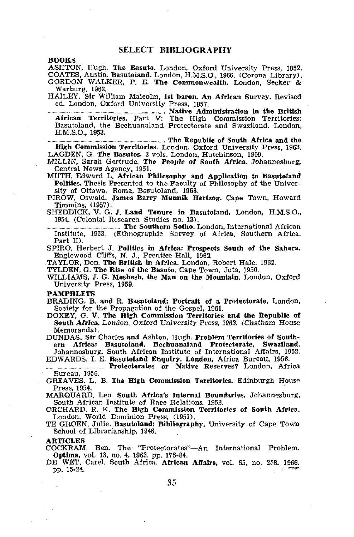**BOOKS**

ASHTON, Hugh. **The Basuto.** London, Oxford University Press, 1952. COATES, Austin. **Basutoland.** London, H.M.S.O., 1966. (Corona Library). GORDON" WALKER, P. E. The Commonwealth. London, Seeker & Warburg, 1962.

HAILEY, **Sir** William Malcolm, **1st baron. An African Survey,** Revised ed. London, Oxford University Press, 1957.

**Native Administration in the British African Territories.** Part V: The High Commission Territories: Basutoland, the Bechuanaland Protectorate and Swaziland. London, H.M.S.O., 1953.

**The Republic of South Africa and the High Commission Territories.** London, Oxford University Press, 1963. LAGDEN, G. **The Basutos.** 2 vols. London, Hutchinson, 1909. MILLIN, Sarah Gertrude. **The People of South Africa.** Johannesburg,

Central News Agency, 1951.

MUTH, Edward L. **African Philosophy and Application to Basutoland Politics.** Thesis Presented to the Faculty of Philosophy of the University of Ottawa. Roma, Basutoland, 1963.

PIROW, Oswald. **James Barry Munnik Hertzog.** Cape Town, Howard Timmins, (1957). SHEDDICK, V. G. J. **Land Tenure in Basutoland.** London, H.M.S.O.,

1954. (Colonial Research Studies no. 13).

**The Southern Sotho.** London, International African Institute, 1953. (Ethnographic Survey of Africa. Southern Africa. Part II).

SPIRO, Herbert J. **Politics in Africa: Prospects South of the Sahara.** Englewood Cliffs, N. J., Prentice-Hall, 1962.

TAYLOR, Don. **The British in Africa.** London, Robert Hale, 1962.

TYLDEN, G. **The Rise of the Basuto.** Cape Town, Juta, 1950.

WILLIAMS, J. G. **Moshesh, the Man on the Mountain.** London, Oxford University Press, 1959.

#### **PAMPHLETS**

**BRADING. B. and R. Basutoland: Portrait of a Protectorate.** London, Society for the Propagation of the Gospel, 1961.

DOXEY, G. V. **The High Commission Territories and the Republic of South Africa.** London, Oxford University Press, *1963. (Chatham* House Memoranda).

DUNDAS. **Sir** Charles **and** Ashton, Hugh. **Problem Territories of Southern Africa: Basutoland, Bechuanaland Protectorate, Swaziland.** Johannesburg, South African Institute of International Affairs. 1952.

EDWARDS, I. E. **Basutoland Enquiry. London,** Africa Bureau, 1956. **Protectorates or Native Reserves?** London, Africa

Bureau, 1956.

GREAVES, **L.** B. **The High Commission Territories.** Edinburgh House Press, 1954.

MARQUARD, Leo. **South Africa's Internal Boundaries.** Johannesburg, South African Institute of Race Relations. 1958.

ORCHARD. R. K. The **High Commission Territories of South Africa.** London, World Dominion Press, (1951).

TE GROEN, Julie. **Basutoland: Bibliography,** University of Cape Town School of Librarianship, 1946.

**ARTICLES**

COCKRAM, Ben. The "Protectorates"—An International Problem. **Optima,** vol. 13, no. 4, 1963. pp. 176-84. DE WET, Carel. South Africa. **African Affairs,** vol. 65, no, **258, 1966.**

p p . **15-24 .** *. • """*